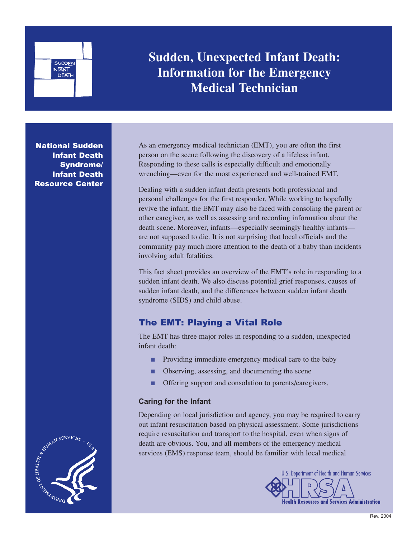

**Sudden, Unexpected Infant Death: Information for the Emergency Medical Technician**

National Sudden Infant Death Syndrome/ Infant Death Resource Center

As an emergency medical technician (EMT), you are often the first person on the scene following the discovery of a lifeless infant. Responding to these calls is especially difficult and emotionally wrenching—even for the most experienced and well-trained EMT.

Dealing with a sudden infant death presents both professional and personal challenges for the first responder. While working to hopefully revive the infant, the EMT may also be faced with consoling the parent or other caregiver, as well as assessing and recording information about the death scene. Moreover, infants—especially seemingly healthy infants are not supposed to die. It is not surprising that local officials and the community pay much more attention to the death of a baby than incidents involving adult fatalities.

This fact sheet provides an overview of the EMT's role in responding to a sudden infant death. We also discuss potential grief responses, causes of sudden infant death, and the differences between sudden infant death syndrome (SIDS) and child abuse.

## The EMT: Playing a Vital Role

The EMT has three major roles in responding to a sudden, unexpected infant death:

- Providing immediate emergency medical care to the baby
- Observing, assessing, and documenting the scene
- Offering support and consolation to parents/caregivers.

### **Caring for the Infant**

Depending on local jurisdiction and agency, you may be required to carry out infant resuscitation based on physical assessment. Some jurisdictions require resuscitation and transport to the hospital, even when signs of death are obvious. You, and all members of the emergency medical services (EMS) response team, should be familiar with local medical



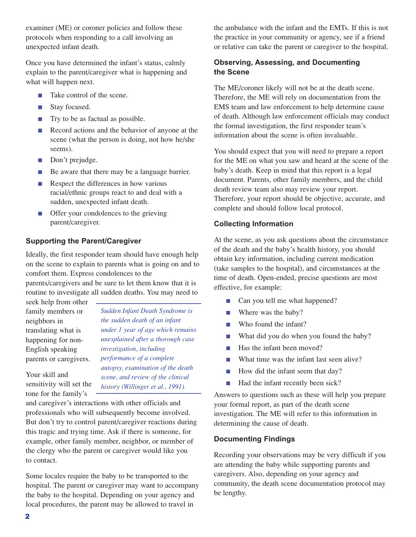examiner (ME) or coroner policies and follow these protocols when responding to a call involving an unexpected infant death.

Once you have determined the infant's status, calmly explain to the parent/caregiver what is happening and what will happen next.

- Take control of the scene.
- Stay focused.
- Try to be as factual as possible.
- Record actions and the behavior of anyone at the scene (what the person is doing, not how he/she seems).
- Don't prejudge.
- Be aware that there may be a language barrier.
- Respect the differences in how various racial/ethnic groups react to and deal with a sudden, unexpected infant death.
- Offer your condolences to the grieving parent/caregiver.

### **Supporting the Parent/Caregiver**

Ideally, the first responder team should have enough help on the scene to explain to parents what is going on and to comfort them. Express condolences to the

parents/caregivers and be sure to let them know that it is routine to investigate all sudden deaths. You may need to

seek help from other family members or neighbors in translating what is happening for non-English speaking parents or caregivers.

sensitivity will set the

Your skill and

*Sudden Infant Death Syndrome is the sudden death of an infant under 1 year of age which remains unexplained after a thorough case investigation, including performance of a complete autopsy, examination of the death scene, and review of the clinical history (Willinger et al., 1991).*

tone for the family's and caregiver's interactions with other officials and professionals who will subsequently become involved. But don't try to control parent/caregiver reactions during this tragic and trying time. Ask if there is someone, for example, other family member, neighbor, or member of the clergy who the parent or caregiver would like you to contact.

Some locales require the baby to be transported to the hospital. The parent or caregiver may want to accompany the baby to the hospital. Depending on your agency and local procedures, the parent may be allowed to travel in

the ambulance with the infant and the EMTs. If this is not the practice in your community or agency, see if a friend or relative can take the parent or caregiver to the hospital.

### **Observing, Assessing, and Documenting the Scene**

The ME/coroner likely will not be at the death scene. Therefore, the ME will rely on documentation from the EMS team and law enforcement to help determine cause of death. Although law enforcement officials may conduct the formal investigation, the first responder team's information about the scene is often invaluable.

You should expect that you will need to prepare a report for the ME on what you saw and heard at the scene of the baby's death. Keep in mind that this report is a legal document. Parents, other family members, and the child death review team also may review your report. Therefore, your report should be objective, accurate, and complete and should follow local protocol.

#### **Collecting Information**

At the scene, as you ask questions about the circumstance of the death and the baby's health history, you should obtain key information, including current medication (take samples to the hospital), and circumstances at the time of death. Open-ended, precise questions are most effective, for example:

- Can you tell me what happened?
- Where was the baby?
- Who found the infant?
- What did you do when you found the baby?
- Has the infant been moved?
- What time was the infant last seen alive?
- How did the infant seem that day?
- Had the infant recently been sick?

Answers to questions such as these will help you prepare your formal report, as part of the death scene investigation. The ME will refer to this information in determining the cause of death.

#### **Documenting Findings**

Recording your observations may be very difficult if you are attending the baby while supporting parents and caregivers. Also, depending on your agency and community, the death scene documentation protocol may be lengthy.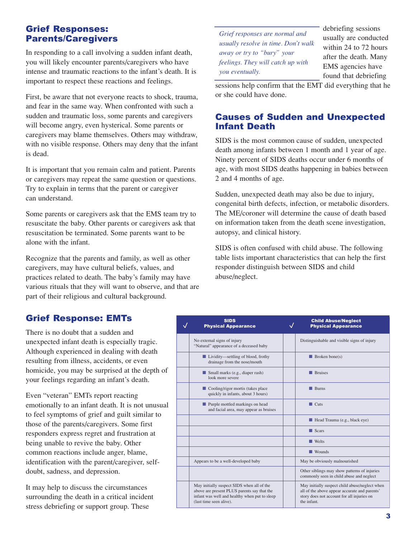## Grief Responses: Parents/Caregivers

In responding to a call involving a sudden infant death, you will likely encounter parents/caregivers who have intense and traumatic reactions to the infant's death. It is important to respect these reactions and feelings.

First, be aware that not everyone reacts to shock, trauma, and fear in the same way. When confronted with such a sudden and traumatic loss, some parents and caregivers will become angry, even hysterical. Some parents or caregivers may blame themselves. Others may withdraw, with no visible response. Others may deny that the infant is dead.

It is important that you remain calm and patient. Parents or caregivers may repeat the same question or questions. Try to explain in terms that the parent or caregiver can understand.

Some parents or caregivers ask that the EMS team try to resuscitate the baby. Other parents or caregivers ask that resuscitation be terminated. Some parents want to be alone with the infant.

Recognize that the parents and family, as well as other caregivers, may have cultural beliefs, values, and practices related to death. The baby's family may have various rituals that they will want to observe, and that are part of their religious and cultural background.

*Grief responses are normal and usually resolve in time. Don't walk away or try to "bury" your feelings. They will catch up with you eventually.* 

debriefing sessions usually are conducted within 24 to 72 hours after the death. Many EMS agencies have found that debriefing

sessions help confirm that the EMT did everything that he or she could have done.

## Causes of Sudden and Unexpected Infant Death

SIDS is the most common cause of sudden, unexpected death among infants between 1 month and 1 year of age. Ninety percent of SIDS deaths occur under 6 months of age, with most SIDS deaths happening in babies between 2 and 4 months of age.

Sudden, unexpected death may also be due to injury, congenital birth defects, infection, or metabolic disorders. The ME/coroner will determine the cause of death based on information taken from the death scene investigation, autopsy, and clinical history.

SIDS is often confused with child abuse. The following table lists important characteristics that can help the first responder distinguish between SIDS and child abuse/neglect.

## Grief Response: EMTs

There is no doubt that a sudden and unexpected infant death is especially tragic. Although experienced in dealing with death resulting from illness, accidents, or even homicide, you may be surprised at the depth of your feelings regarding an infant's death.

Even "veteran" EMTs report reacting emotionally to an infant death. It is not unusual to feel symptoms of grief and guilt similar to those of the parents/caregivers. Some first responders express regret and frustration at being unable to revive the baby. Other common reactions include anger, blame, identification with the parent/caregiver, selfdoubt, sadness, and depression.

It may help to discuss the circumstances surrounding the death in a critical incident stress debriefing or support group. These

| <b>SIDS</b><br><b>Physical Appearance</b>                                                                                                                             | <b>Child Abuse/Neglect</b><br><b>Physical Appearance</b>                                                                                                     |
|-----------------------------------------------------------------------------------------------------------------------------------------------------------------------|--------------------------------------------------------------------------------------------------------------------------------------------------------------|
| No external signs of injury<br>"Natural" appearance of a deceased baby                                                                                                | Distinguishable and visible signs of injury                                                                                                                  |
| ■ Lividity—settling of blood, frothy<br>drainage from the nose/mouth                                                                                                  | $\blacksquare$ Broken bone(s)                                                                                                                                |
| $\blacksquare$ Small marks (e.g., diaper rash)<br>look more severe                                                                                                    | <b>Bruises</b>                                                                                                                                               |
| $\blacksquare$ Cooling/rigor mortis (takes place<br>quickly in infants, about 3 hours)                                                                                | $\blacksquare$ Burns                                                                                                                                         |
| Purple mottled markings on head<br>and facial area, may appear as bruises                                                                                             | $\blacksquare$ Cuts                                                                                                                                          |
|                                                                                                                                                                       | Head Trauma (e.g., black eye)                                                                                                                                |
|                                                                                                                                                                       | $\blacksquare$ Scars                                                                                                                                         |
|                                                                                                                                                                       | $\blacksquare$ Welts                                                                                                                                         |
|                                                                                                                                                                       | $\blacksquare$ Wounds                                                                                                                                        |
| Appears to be a well-developed baby                                                                                                                                   | May be obviously malnourished                                                                                                                                |
|                                                                                                                                                                       | Other siblings may show patterns of injuries<br>commonly seen in child abuse and neglect                                                                     |
| May initially suspect SIDS when all of the<br>above are present PLUS parents say that the<br>infant was well and healthy when put to sleep<br>(last time seen alive). | May initially suspect child abuse/neglect when<br>all of the above appear accurate and parents'<br>story does not account for all injuries on<br>the infant. |
|                                                                                                                                                                       |                                                                                                                                                              |